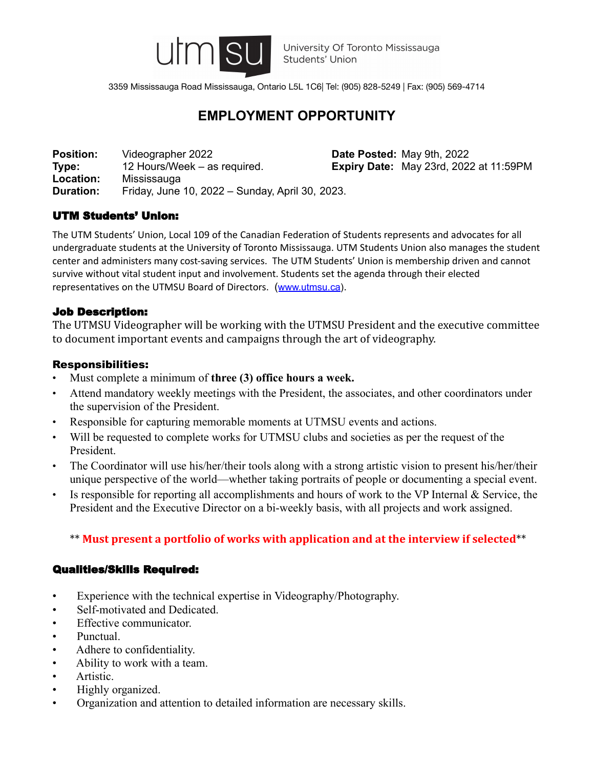

3359 Mississauga Road Mississauga, Ontario L5L 1C6| Tel: (905) 828-5249 | Fax: (905) 569-4714

# **EMPLOYMENT OPPORTUNITY**

**Position:** Videographer 2022 **Date Posted:** May 9th, 2022<br> **Type:** 12 Hours/Week – as required. **Expiry Date:** May 23rd. 2022 **Type:** 12 Hours/Week – as required. **Expiry Date:** May 23rd, 2022 at 11:59PM **Location:** Mississauga **Duration:** Friday, June 10, 2022 – Sunday, April 30, 2023.

## UTM Students' Union:

The UTM Students' Union, Local 109 of the Canadian Federation of Students represents and advocates for all undergraduate students at the University of Toronto Mississauga. UTM Students Union also manages the student center and administers many cost-saving services. The UTM Students' Union is membership driven and cannot survive without vital student input and involvement. Students set the agenda through their elected representatives on the UTMSU Board of Directors. ([www.utmsu.ca](http://www.utmsu.ca)).

## Job Description:

The UTMSU Videographer will be working with the UTMSU President and the executive committee to document important events and campaigns through the art of videography.

#### Responsibilities:

- Must complete a minimum of **three (3) office hours a week.**
- Attend mandatory weekly meetings with the President, the associates, and other coordinators under the supervision of the President.
- Responsible for capturing memorable moments at UTMSU events and actions.
- Will be requested to complete works for UTMSU clubs and societies as per the request of the President.
- The Coordinator will use his/her/their tools along with a strong artistic vision to present his/her/their unique perspective of the world—whether taking portraits of people or documenting a special event.
- Is responsible for reporting all accomplishments and hours of work to the VP Internal & Service, the President and the Executive Director on a bi-weekly basis, with all projects and work assigned.

# \*\* **Must present a portfolio of works with application and at the interview if selected**\*\*

## Qualities/Skills Required:

- Experience with the technical expertise in Videography/Photography.
- Self-motivated and Dedicated.
- Effective communicator.
- Punctual.
- Adhere to confidentiality.
- Ability to work with a team.
- Artistic.
- Highly organized.
- Organization and attention to detailed information are necessary skills.